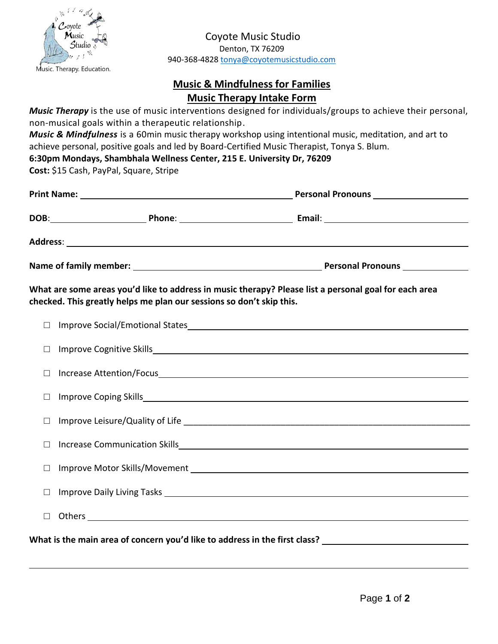

Coyote Music Studio Denton, TX 76209 940-368-4828 [tonya@coyotemusicstudio.com](mailto:tonya@coyotemusicstudio.com) 

## **Music & Mindfulness for Families Music Therapy Intake Form**

*Music Therapy* is the use of music interventions designed for individuals/groups to achieve their personal, non-musical goals within a therapeutic relationship.

*Music & Mindfulness* is a 60min music therapy workshop using intentional music, meditation, and art to achieve personal, positive goals and led by Board-Certified Music Therapist, Tonya S. Blum.

## **6:30pm Mondays, Shambhala Wellness Center, 215 E. University Dr, 76209**

**Cost:** \$15 Cash, PayPal, Square, Stripe

|                                                                                                                                                                               |                                                                                                                                                                                                                                | DOB: Phone: Phone: Email: Email: Phone: Phone: Phone: Phone: Phone: Phone: Phone: Phone: Phone: Phone: Phone: Phone: Phone: Phone: Phone: Phone: Phone: Phone: Phone: Phone: Phone: Phone: Phone: Phone: Phone: Phone: Phone:  |
|-------------------------------------------------------------------------------------------------------------------------------------------------------------------------------|--------------------------------------------------------------------------------------------------------------------------------------------------------------------------------------------------------------------------------|--------------------------------------------------------------------------------------------------------------------------------------------------------------------------------------------------------------------------------|
|                                                                                                                                                                               |                                                                                                                                                                                                                                |                                                                                                                                                                                                                                |
|                                                                                                                                                                               |                                                                                                                                                                                                                                |                                                                                                                                                                                                                                |
| What are some areas you'd like to address in music therapy? Please list a personal goal for each area<br>checked. This greatly helps me plan our sessions so don't skip this. |                                                                                                                                                                                                                                |                                                                                                                                                                                                                                |
| $\Box$                                                                                                                                                                        |                                                                                                                                                                                                                                |                                                                                                                                                                                                                                |
| $\Box$                                                                                                                                                                        |                                                                                                                                                                                                                                |                                                                                                                                                                                                                                |
| $\Box$                                                                                                                                                                        |                                                                                                                                                                                                                                | Increase Attention/Focus                                                                                                                                                                                                       |
| $\Box$                                                                                                                                                                        |                                                                                                                                                                                                                                |                                                                                                                                                                                                                                |
| $\Box$                                                                                                                                                                        |                                                                                                                                                                                                                                |                                                                                                                                                                                                                                |
| $\Box$                                                                                                                                                                        |                                                                                                                                                                                                                                |                                                                                                                                                                                                                                |
| $\Box$                                                                                                                                                                        | Improve Motor Skills/Movement National Accounts and Accounts and Accounts and Accounts and Accounts and Accounts and Accounts are accounted as a series of the Accounts and Accounts are accounted as a series of the Accounts |                                                                                                                                                                                                                                |
| $\Box$                                                                                                                                                                        |                                                                                                                                                                                                                                |                                                                                                                                                                                                                                |
| $\Box$                                                                                                                                                                        |                                                                                                                                                                                                                                | Others experience and the contract of the contract of the contract of the contract of the contract of the contract of the contract of the contract of the contract of the contract of the contract of the contract of the cont |
|                                                                                                                                                                               |                                                                                                                                                                                                                                |                                                                                                                                                                                                                                |